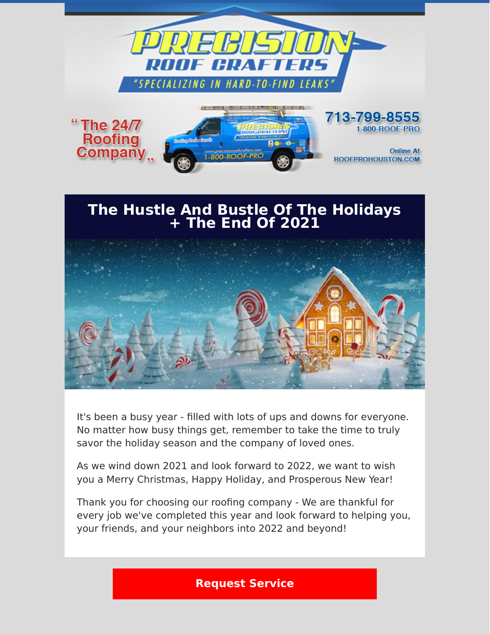

## **The Hustle And Bustle Of The Holidays + The End Of 2021**



It's been a busy year - filled with lots of ups and downs for everyone. No matter how busy things get, remember to take the time to truly savor the holiday season and the company of loved ones.

As we wind down 2021 and look forward to 2022, we want to wish you a Merry Christmas, Happy Holiday, and Prosperous New Year!

Thank you for choosing our roofing company - We are thankful for every job we've completed this year and look forward to helping you, your friends, and your neighbors into 2022 and beyond!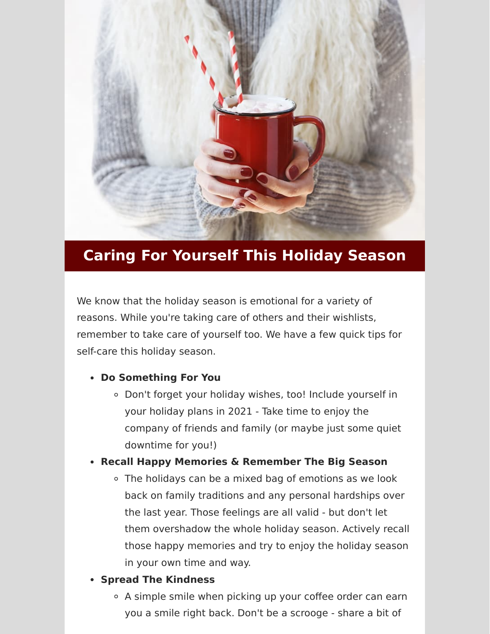

# **Caring For Yourself This Holiday Season**

We know that the holiday season is emotional for a variety of reasons. While you're taking care of others and their wishlists, remember to take care of yourself too. We have a few quick tips for self-care this holiday season.

### **Do Something For You**

Don't forget your holiday wishes, too! Include yourself in your holiday plans in 2021 - Take time to enjoy the company of friends and family (or maybe just some quiet downtime for you!)

### **Recall Happy Memories & Remember The Big Season**

- The holidays can be a mixed bag of emotions as we look back on family traditions and any personal hardships over the last year. Those feelings are all valid - but don't let them overshadow the whole holiday season. Actively recall those happy memories and try to enjoy the holiday season in your own time and way.
- **Spread The Kindness** 
	- A simple smile when picking up your coffee order can earn you a smile right back. Don't be a scrooge - share a bit of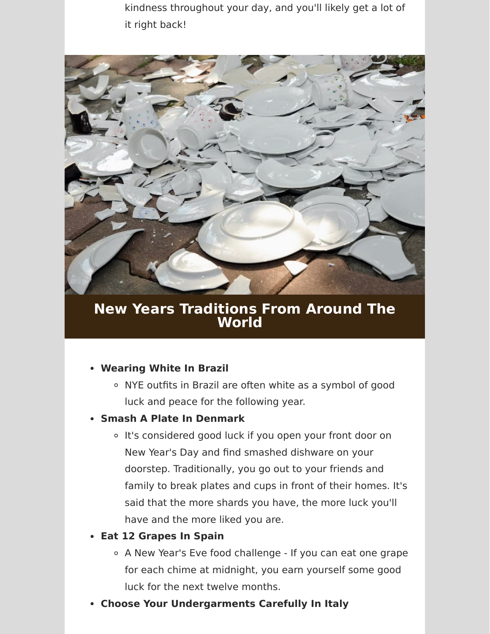kindness throughout your day, and you'll likely get a lot of it right back!



**New Years Traditions From Around The World** 

### **Wearing White In Brazil**

NYE outfits in Brazil are often white as a symbol of good luck and peace for the following year.

#### **Smash A Plate In Denmark**

o It's considered good luck if you open your front door on New Year's Day and find smashed dishware on your doorstep. Traditionally, you go out to your friends and family to break plates and cups in front of their homes. It's said that the more shards you have, the more luck you'll have and the more liked you are.

### **Eat 12 Grapes In Spain**

- A New Year's Eve food challenge If you can eat one grape for each chime at midnight, you earn yourself some good luck for the next twelve months.
- **Choose Your Undergarments Carefully In Italy**